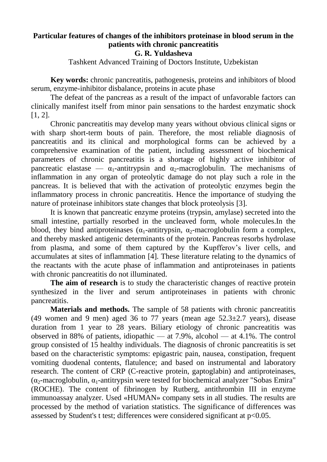# **Particular features of changes of the inhibitors proteinase in blood serum in the patients with chronic pancreatitis**

## **G. R. Yuldasheva**

Tashkent Advanced Training of Doctors Institute, Uzbekistan

**Key words:** chronic pancreatitis, pathogenesis, proteins and inhibitors of blood serum, enzyme-inhibitor disbalance, proteins in acute phase

The defeat of the pancreas as a result of the impact of unfavorable factors can clinically manifest itself from minor pain sensations to the hardest enzymatic shock [\[1,](https://translate.googleusercontent.com/translate_f#_Ref460071119) [2\]](https://translate.googleusercontent.com/translate_f#_Ref460071123).

Chronic pancreatitis may develop many years without obvious clinical signs or with sharp short-term bouts of pain. Therefore, the most reliable diagnosis of pancreatitis and its clinical and morphological forms can be achieved by a comprehensive examination of the patient, including assessment of biochemical parameters of chronic pancreatitis is a shortage of highly active inhibitor of pancreatic elastase —  $\alpha_1$ -antitrypsin and  $\alpha_2$ -macroglobulin. The mechanisms of inflammation in any organ of proteolytic damage do not play such a role in the pancreas. It is believed that with the activation of proteolytic enzymes begin the inflammatory process in chronic pancreatitis. Hence the importance of studying the nature of proteinase inhibitors state changes that block proteolysis [\[3\]](https://translate.googleusercontent.com/translate_f#_Ref460071487).

It is known that pancreatic enzyme proteins (trypsin, amylase) secreted into the small intestine, partially resorbed in the uncleaved form, whole molecules.In the blood, they bind antiproteinases ( $\alpha_1$ -antitrypsin,  $\alpha_2$ -macroglobulin form a complex, and thereby masked antigenic determinants of the protein. Pancreas resorbs hydrolase from plasma, and some of them captured by the Kupfferov's liver cells, and accumulates at sites of inflammation [\[4\]](https://translate.googleusercontent.com/translate_f#_Ref460071549). These literature relating to the dynamics of the reactants with the acute phase of inflammation and antiproteinases in patients with chronic pancreatitis do not illuminated.

**The aim of research** is to study the characteristic changes of reactive protein synthesized in the liver and serum antiproteinases in patients with chronic pancreatitis.

**Materials and methods.** The sample of 58 patients with chronic pancreatitis (49 women and 9 men) aged 36 to 77 years (mean age  $52.3\pm2.7$  years), disease duration from 1 year to 28 years. Biliary etiology of chronic pancreatitis was observed in 88% of patients, idiopathic — at  $7.9\%$ , alcohol — at  $4.1\%$ . The control group consisted of 15 healthy individuals. The diagnosis of chronic pancreatitis is set based on the characteristic symptoms: epigastric pain, nausea, constipation, frequent vomiting duodenal contents, flatulence; and based on instrumental and laboratory research. The content of CRP (C-reactive protein, gaptoglabin) and antiproteinases, ( $\alpha_2$ -macroglobulin,  $\alpha_1$ -antitrypsin were tested for biochemical analyzer "Sobas Emira" (ROCHE). The content of fibrinogen by Rutberg, antithrombin III in enzyme immunoassay analyzer. Used «HUMAN» company sets in all studies. The results are processed by the method of variation statistics. The significance of differences was assessed by Student's t test; differences were considered significant at p<0.05.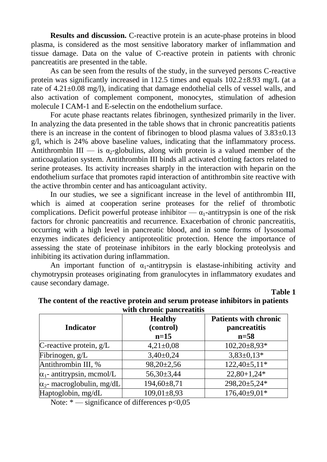**Results and discussion.** C-reactive protein is an acute-phase proteins in blood plasma, is considered as the most sensitive laboratory marker of inflammation and tissue damage. Data on the value of C-reactive protein in patients with chronic pancreatitis are presented in the table.

As can be seen from the results of the study, in the surveyed persons C-reactive protein was significantly increased in 112.5 times and equals 102.2±8.93 mg/L (at a rate of 4.21±0.08 mg/l), indicating that damage endothelial cells of vessel walls, and also activation of complement component, monocytes, stimulation of adhesion molecule I CAM-1 and E-selectin on the endothelium surface.

For acute phase reactants relates fibrinogen, synthesized primarily in the liver. In analyzing the data presented in the table shows that in chronic pancreatitis patients there is an increase in the content of fibrinogen to blood plasma values of  $3.83\pm0.13$ g/l, which is 24% above baseline values, indicating that the inflammatory process. Antithrombin III — is  $\alpha_2$ -globulins, along with protein is a valued member of the anticoagulation system. Antithrombin III binds all activated clotting factors related to serine proteases. Its activity increases sharply in the interaction with heparin on the endothelium surface that promotes rapid interaction of antithrombin site reactive with the active thrombin center and has anticoagulant activity.

In our studies, we see a significant increase in the level of antithrombin III, which is aimed at cooperation serine proteases for the relief of thrombotic complications. Deficit powerful protease inhibitor —  $\alpha_1$ -antitrypsin is one of the risk factors for chronic pancreatitis and recurrence. Exacerbation of chronic pancreatitis, occurring with a high level in pancreatic blood, and in some forms of lysosomal enzymes indicates deficiency antiproteolitic protection. Hence the importance of assessing the state of proteinase inhibitors in the early blocking proteolysis and inhibiting its activation during inflammation.

An important function of  $\alpha_1$ -antitrypsin is elastase-inhibiting activity and chymotrypsin proteases originating from granulocytes in inflammatory exudates and cause secondary damage.

**Table 1**

|                                   | <b>Healthy</b>   | <b>Patients with chronic</b> |
|-----------------------------------|------------------|------------------------------|
| <b>Indicator</b>                  | (control)        | pancreatitis                 |
|                                   | $n=15$           | $n=58$                       |
| C-reactive protein, $g/L$         | $4,21\pm0.08$    | $102,20\pm8,93*$             |
| Fibrinogen, g/L                   | $3,40\pm0,24$    | $3,83\pm0,13*$               |
| Antithrombin III, %               | $98,20 \pm 2,56$ | $122,40\pm5,11*$             |
| $\alpha_1$ - antitrypsin, mcmol/L | $56,30\pm3,44$   | $22,80+1,24*$                |
| $\alpha_2$ - macroglobulin, mg/dL | 194,60±8,71      | 298,20±5,24*                 |
| Haptoglobin, mg/dL                | $109,01\pm8,93$  | 176,40±9,01*                 |

#### **The content of the reactive protein and serum protease inhibitors in patients**  with chronic pancreatities

Note:  $*$  — significance of differences  $p<0.05$